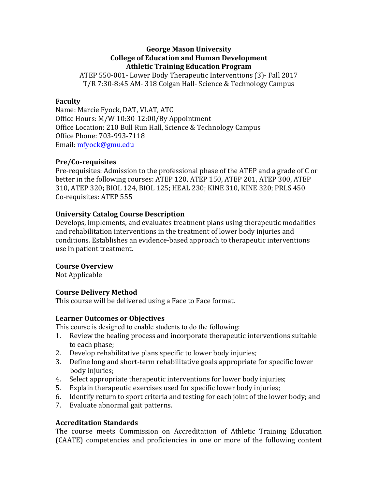#### **George Mason University College of Education and Human Development Athletic Training Education Program**

ATEP 550-001- Lower Body Therapeutic Interventions (3)- Fall 2017 T/R 7:30-8:45 AM- 318 Colgan Hall- Science & Technology Campus

### **Faculty**

Name: Marcie Fyock, DAT, VLAT, ATC Office Hours: M/W 10:30-12:00/By Appointment Office Location: 210 Bull Run Hall, Science & Technology Campus Office Phone: 703-993-7118 Email: mfyock@gmu.edu

### **Pre/Co-requisites**

Pre-requisites: Admission to the professional phase of the ATEP and a grade of C or better in the following courses: ATEP 120, ATEP 150, ATEP 201, ATEP 300, ATEP 310, ATEP 320; BIOL 124, BIOL 125; HEAL 230; KINE 310, KINE 320; PRLS 450 Co-requisites: ATEP 555 

### **University Catalog Course Description**

Develops, implements, and evaluates treatment plans using therapeutic modalities and rehabilitation interventions in the treatment of lower body injuries and conditions. Establishes an evidence-based approach to therapeutic interventions use in patient treatment.

# **Course Overview**

Not Applicable

# **Course Delivery Method**

This course will be delivered using a Face to Face format.

#### **Learner Outcomes or Objectives**

This course is designed to enable students to do the following:

- 1. Review the healing process and incorporate therapeutic interventions suitable to each phase;
- 2. Develop rehabilitative plans specific to lower body injuries;
- 3. Define long and short-term rehabilitative goals appropriate for specific lower body injuries;
- 4. Select appropriate therapeutic interventions for lower body injuries;
- 5. Explain therapeutic exercises used for specific lower body injuries;
- 6. Identify return to sport criteria and testing for each joint of the lower body; and
- 7. Evaluate abnormal gait patterns.

# **Accreditation Standards**

The course meets Commission on Accreditation of Athletic Training Education (CAATE) competencies and proficiencies in one or more of the following content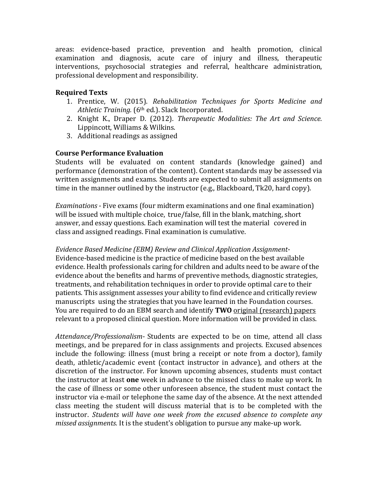areas: evidence-based practice, prevention and health promotion, clinical examination and diagnosis, acute care of injury and illness, therapeutic interventions, psychosocial strategies and referral, healthcare administration, professional development and responsibility.

# **Required Texts**

- 1. Prentice, W. (2015). *Rehabilitation Techniques for Sports Medicine and Athletic Training.* (6<sup>th</sup> ed.). Slack Incorporated.
- 2. Knight K., Draper D. (2012). *Therapeutic Modalities: The Art and Science.* Lippincott, Williams & Wilkins.
- 3. Additional readings as assigned

# **Course Performance Evaluation**

Students will be evaluated on content standards (knowledge gained) and performance (demonstration of the content). Content standards may be assessed via written assignments and exams. Students are expected to submit all assignments on time in the manner outlined by the instructor  $(e.g., Blackboard, Tk20, hard copy)$ .

*Examinations* - Five exams (four midterm examinations and one final examination) will be issued with multiple choice, true/false, fill in the blank, matching, short answer, and essay questions. Each examination will test the material covered in class and assigned readings. Final examination is cumulative.

Evidence Based Medicine (EBM) Review and Clinical Application Assignment-Evidence-based medicine is the practice of medicine based on the best available evidence. Health professionals caring for children and adults need to be aware of the evidence about the benefits and harms of preventive methods, diagnostic strategies, treatments, and rehabilitation techniques in order to provide optimal care to their patients. This assignment assesses your ability to find evidence and critically review manuscripts using the strategies that you have learned in the Foundation courses. You are required to do an EBM search and identify **TWO** original (research) papers relevant to a proposed clinical question. More information will be provided in class.

Attendance/Professionalism- Students are expected to be on time, attend all class meetings, and be prepared for in class assignments and projects. Excused absences include the following: illness (must bring a receipt or note from a doctor), family death, athletic/academic event (contact instructor in advance), and others at the discretion of the instructor. For known upcoming absences, students must contact the instructor at least **one** week in advance to the missed class to make up work. In the case of illness or some other unforeseen absence, the student must contact the instructor via e-mail or telephone the same day of the absence. At the next attended class meeting the student will discuss material that is to be completed with the instructor. *Students* will have one week from the excused absence to complete any *missed assignments.* It is the student's obligation to pursue any make-up work.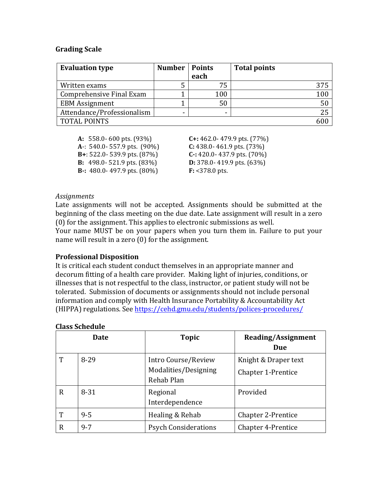#### **Grading Scale**

| <b>Evaluation type</b>     | <b>Number</b> | <b>Points</b><br>each | <b>Total points</b> |
|----------------------------|---------------|-----------------------|---------------------|
| Written exams              |               |                       |                     |
| Comprehensive Final Exam   |               | 100                   | 100                 |
| <b>EBM</b> Assignment      |               | 50                    | 50                  |
| Attendance/Professionalism | -             |                       | 25                  |
| <b>TOTAL POINTS</b>        |               |                       |                     |

**A:** 558.0- 600 pts. (93%) **C+:** 462.0- 479.9 pts. (77%) **A**-: 540.0- 557.9 pts. (90%) **C:** 438.0- 461.9 pts. (73%) **B**+: 522.0- 539.9 pts. (87%) **C**-: 420.0- 437.9 pts. (70%) **B:** 498.0- 521.9 pts. (83%) **D:** 378.0- 419.9 pts. (63%) **B**-: 480.0-497.9 pts. (80%) **F:** <378.0 pts.

#### *Assignments*

Late assignments will not be accepted. Assignments should be submitted at the beginning of the class meeting on the due date. Late assignment will result in a zero  $(0)$  for the assignment. This applies to electronic submissions as well.

Your name MUST be on your papers when you turn them in. Failure to put your name will result in a zero  $(0)$  for the assignment.

#### **Professional Disposition**

It is critical each student conduct themselves in an appropriate manner and decorum fitting of a health care provider. Making light of injuries, conditions, or illnesses that is not respectful to the class, instructor, or patient study will not be tolerated. Submission of documents or assignments should not include personal information and comply with Health Insurance Portability & Accountability Act (HIPPA) regulations. See https://cehd.gmu.edu/students/polices-procedures/

|             | <b>Date</b> | <b>Topic</b>                                              | <b>Reading/Assignment</b><br>Due                  |
|-------------|-------------|-----------------------------------------------------------|---------------------------------------------------|
| T           | $8 - 29$    | Intro Course/Review<br>Modalities/Designing<br>Rehab Plan | Knight & Draper text<br><b>Chapter 1-Prentice</b> |
| $\mathbf R$ | $8 - 31$    | Regional<br>Interdependence                               | Provided                                          |
| T           | $9 - 5$     | Healing & Rehab                                           | <b>Chapter 2-Prentice</b>                         |
| R           | $9 - 7$     | <b>Psych Considerations</b>                               | <b>Chapter 4-Prentice</b>                         |

#### **Class Schedule**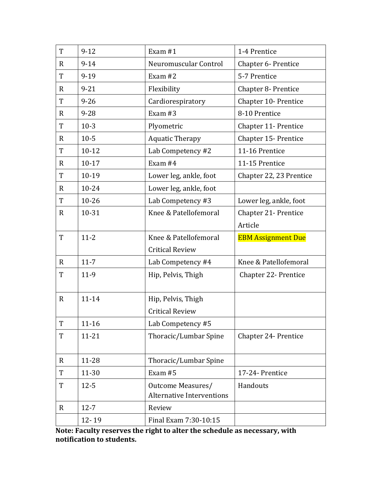| T            | $9 - 12$  | Exam $#1$                        | 1-4 Prentice               |
|--------------|-----------|----------------------------------|----------------------------|
| $\mathbf R$  | $9 - 14$  | Neuromuscular Control            | Chapter 6- Prentice        |
| $\mathbf T$  | $9 - 19$  | Exam $#2$                        | 5-7 Prentice               |
| $\mathbf R$  | $9 - 21$  | Flexibility                      | <b>Chapter 8- Prentice</b> |
| T            | $9 - 26$  | Cardiorespiratory                | Chapter 10- Prentice       |
| $\mathbf{R}$ | $9 - 28$  | Exam $#3$                        | 8-10 Prentice              |
| T            | $10-3$    | Plyometric                       | Chapter 11- Prentice       |
| $\mathbf{R}$ | $10-5$    | <b>Aquatic Therapy</b>           | Chapter 15- Prentice       |
| T            | $10 - 12$ | Lab Competency #2                | 11-16 Prentice             |
| $\mathbf R$  | $10 - 17$ | Exam #4                          | 11-15 Prentice             |
| T            | $10-19$   | Lower leg, ankle, foot           | Chapter 22, 23 Prentice    |
| R            | $10 - 24$ | Lower leg, ankle, foot           |                            |
| T            | $10 - 26$ | Lab Competency #3                | Lower leg, ankle, foot     |
| $\mathbf{R}$ | 10-31     | Knee & Patellofemoral            | Chapter 21- Prentice       |
|              |           |                                  | Article                    |
| T            | $11 - 2$  | Knee & Patellofemoral            | <b>EBM Assignment Due</b>  |
|              |           | <b>Critical Review</b>           |                            |
|              |           |                                  |                            |
| $\mathbf{R}$ | $11 - 7$  | Lab Competency #4                | Knee & Patellofemoral      |
| T            | $11-9$    | Hip, Pelvis, Thigh               | Chapter 22- Prentice       |
|              |           |                                  |                            |
| $\mathbf R$  | 11-14     | Hip, Pelvis, Thigh               |                            |
|              |           | <b>Critical Review</b>           |                            |
| T            | $11 - 16$ | Lab Competency #5                |                            |
| T            | $11 - 21$ | Thoracic/Lumbar Spine            | Chapter 24- Prentice       |
|              |           |                                  |                            |
| R            | 11-28     | Thoracic/Lumbar Spine            |                            |
| T            | 11-30     | Exam #5                          | 17-24- Prentice            |
| T            | $12 - 5$  | Outcome Measures/                | Handouts                   |
|              |           | <b>Alternative Interventions</b> |                            |
| $\mathbf R$  | $12 - 7$  | Review                           |                            |

Note: Faculty reserves the right to alter the schedule as necessary, with **notification to students.**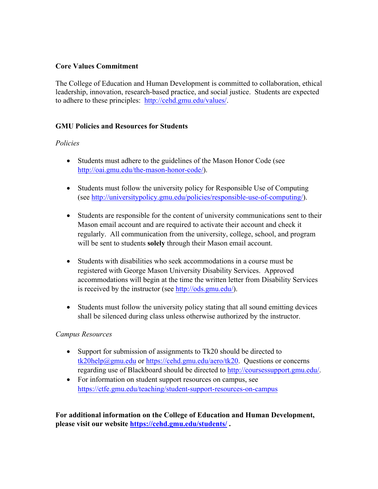# **Core Values Commitment**

The College of Education and Human Development is committed to collaboration, ethical leadership, innovation, research-based practice, and social justice. Students are expected to adhere to these principles: http://cehd.gmu.edu/values/.

### **GMU Policies and Resources for Students**

# *Policies*

- Students must adhere to the guidelines of the Mason Honor Code (see http://oai.gmu.edu/the-mason-honor-code/).
- Students must follow the university policy for Responsible Use of Computing (see http://universitypolicy.gmu.edu/policies/responsible-use-of-computing/).
- Students are responsible for the content of university communications sent to their Mason email account and are required to activate their account and check it regularly. All communication from the university, college, school, and program will be sent to students **solely** through their Mason email account.
- Students with disabilities who seek accommodations in a course must be registered with George Mason University Disability Services. Approved accommodations will begin at the time the written letter from Disability Services is received by the instructor (see http://ods.gmu.edu/).
- Students must follow the university policy stating that all sound emitting devices shall be silenced during class unless otherwise authorized by the instructor.

# *Campus Resources*

- Support for submission of assignments to Tk20 should be directed to tk20help@gmu.edu or https://cehd.gmu.edu/aero/tk20. Questions or concerns regarding use of Blackboard should be directed to http://coursessupport.gmu.edu/.
- For information on student support resources on campus, see https://ctfe.gmu.edu/teaching/student-support-resources-on-campus

**For additional information on the College of Education and Human Development, please visit our website https://cehd.gmu.edu/students/ .**